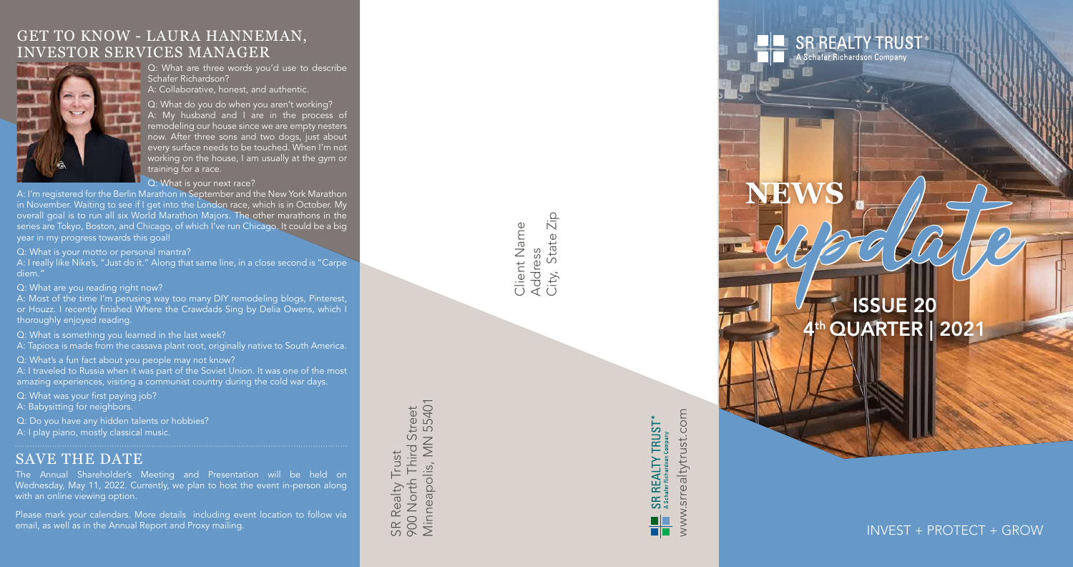**NEWS**

# ISSUE 20 **QUARTER | 2021** upedate<br>Upedate

**SR REALTY TRUST®** 

A Schafer Richardson Company



INVEST + PROTECT + GROW

## GET TO KNOW - LAURA HANNEMAN, INVESTOR SERVICES MANAGER



Q: What are three words you'd use to describe Schafer Richardson? A: Collaborative, honest, and authentic.

Q: What do you do when you aren't working? A: My husband and I are in the process of remodeling our house since we are empty nesters now. After three sons and two dogs, just about every surface needs to be touched. When I'm not working on the house, I am usually at the gym or training for a race.

## Q: What is your next race?

A: I'm registered for the Berlin Marathon in September and the New York Marathon in November. Waiting to see if I get into the London race, which is in October. My overall goal is to run all six World Marathon Majors. The other marathons in the series are Tokyo, Boston, and Chicago, of which I've run Chicago. It could be a big year in my progress towards this goal!

Q: What is your motto or personal mantra?

A: I really like Nike's, "Just do it." Along that same line, in a close second is "Carpe diem."

Q: What are you reading right now?

A: Most of the time I'm perusing way too many DIY remodeling blogs, Pinterest, or Houzz. I recently finished Where the Crawdads Sing by Delia Owens, which I thoroughly enjoyed reading.

Q: What is something you learned in the last week?

A: Tapioca is made from the cassava plant root, originally native to South America.

Q: What's a fun fact about you people may not know?

A: I traveled to Russia when it was part of the Soviet Union. It was one of the most amazing experiences, visiting a communist country during the cold war days.

Q: What was your first paying job?

A: Babysitting for neighbors.

Q: Do you have any hidden talents or hobbies?

A: I play piano, mostly classical music.

## SAVE THE DATE

The Annual Shareholder's Meeting and Presentation will be held on Wednesday, May 11, 2022. Currently, we plan to host the event in-person along with an online viewing option.

Please mark your calendars. More details including event location to follow via email, as well as in the Annual Report and Proxy mailing.

55401 Minneapolis, MN 55401 Third Street 900 North Third Street  $\geq$ SR Realty Trust SR Realty Trust Minneapolis, 900 North

 $\frac{1}{2}$ City, State Zip Client Name Client Name State Address<br>City, Sta